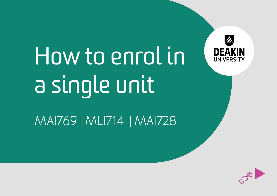

# How to enrol in a single unit

MAI769 | MLI714 | MAI728

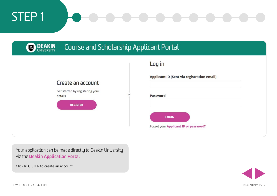

Your application can be made directly to Deakin University via the **[Deakin Application Portal](https://applicantportal.deakin.edu.au/connect/webconnect)**.

Click REGISTER to create an account.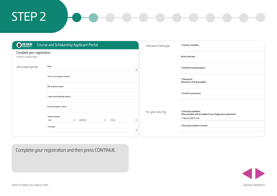| <b>DEAKIN</b>                                              | Course and Scholarship Applicant Portal                                 | How we contact you | *Contact number:                                                                                    |
|------------------------------------------------------------|-------------------------------------------------------------------------|--------------------|-----------------------------------------------------------------------------------------------------|
| Complete your registration<br>* Indicates mandatory fields |                                                                         |                    | <b>Email address:</b>                                                                               |
| Tell us about yourself                                     | Title:<br>÷                                                             |                    | *Confirm email address:                                                                             |
|                                                            | *First name (given name):                                               |                    | *Password:<br>Minimum of 8 characters                                                               |
|                                                            | Other given name:                                                       |                    |                                                                                                     |
|                                                            | *Last name (family name):                                               |                    | *Confirm password:                                                                                  |
|                                                            | Preferred given name:                                                   |                    |                                                                                                     |
|                                                            | *Date of birth:                                                         | For your security  | *Security question:<br>This question will be asked if you forget your password<br>Please select one |
|                                                            | $\div$<br>$\div$<br><b>YEAR</b><br>DAY<br><b>MONTH</b><br>÷<br>*Gender: |                    | *Security question answer:                                                                          |
|                                                            | ÷                                                                       |                    |                                                                                                     |

Complete your registration and then press CONTINUE.

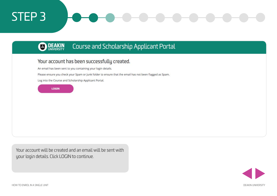#### **BO DEAKIN** Course and Scholarship Applicant Portal

### Your account has been successfully created.

An email has been sent to you containing your login details.

Please ensure you check your Spam or Junk folder to ensure that the email has not been flagged as Spam.

Log into the Course and Scholarship Applicant Portal.



Your account will be created and an email will be sent with your login details. Click LOGIN to continue.

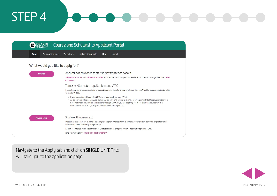|                                   | Course and Scholarship Applicant Portal                                                                                                                                                                                                                                                                                                                                   |
|-----------------------------------|---------------------------------------------------------------------------------------------------------------------------------------------------------------------------------------------------------------------------------------------------------------------------------------------------------------------------------------------------------------------------|
| Your applications<br><b>Apply</b> | Upload documents<br>Your details<br>Help<br>Logout                                                                                                                                                                                                                                                                                                                        |
| What would you like to apply for? |                                                                                                                                                                                                                                                                                                                                                                           |
| <b>COURSE</b>                     | Applications now open to start in November and March                                                                                                                                                                                                                                                                                                                      |
|                                   | Trimester 3 2019 c and Trimester 1 2020 c applications are now open. For available course and closing dates check Find<br>a course?                                                                                                                                                                                                                                       |
|                                   | Trimester/Semester 1 applications and VTAC                                                                                                                                                                                                                                                                                                                                |
|                                   | Please be aware of these restrictions regarding applications for a course offered through VTAC for course applications for<br><b>Trimester 1 2020;</b>                                                                                                                                                                                                                    |
|                                   | . If you have studied Year 12 in 2019, you must apply through VTAC.<br>. As a non-year-12 applicant, you can apply for only one course at a single location directly to Deakin, provided you<br>have not made any course applications through VTAC. If you are applying for more than one course which is<br>offered through VTAC, your application must be through VTAC. |
| <b>SINGLE UNIT</b>                | Single unit (non-award)                                                                                                                                                                                                                                                                                                                                                   |
|                                   | Most units at Deakin are available as a single unit (non-award) which is a great way to pursue personal or professional<br>interests or see if university is right for you.                                                                                                                                                                                               |
|                                   | Return to Practice/Initial Registration of Overseas Nurses bridging course - apply through single unit.                                                                                                                                                                                                                                                                   |
|                                   | Find out more about single unit applications?                                                                                                                                                                                                                                                                                                                             |

Navigate to the Apply tab and click on SINGLE UNIT. This will take you to the application page.

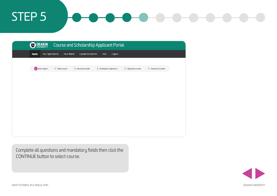| <b>DEAKIN</b>                     |                 |                            | Course and Scholarship Applicant Portal |                    |                     |
|-----------------------------------|-----------------|----------------------------|-----------------------------------------|--------------------|---------------------|
| Your applications<br><b>Apply</b> | Your details    | Upload documents           | Help<br>Logout                          |                    |                     |
|                                   |                 |                            |                                         |                    |                     |
| <b>1</b> Other details            | 2 Select course | <b>3</b> Education details | 4 Professional experience               | 5 Upload documents | 6 Review and submit |
|                                   |                 |                            |                                         |                    |                     |
|                                   |                 |                            |                                         |                    |                     |
|                                   |                 |                            |                                         |                    |                     |
|                                   |                 |                            |                                         |                    |                     |
|                                   |                 |                            |                                         |                    |                     |
|                                   |                 |                            |                                         |                    |                     |
|                                   |                 |                            |                                         |                    |                     |
|                                   |                 |                            |                                         |                    |                     |

Complete all questions and mandatory fields then click the CONTINUE button to select course.

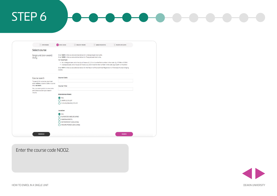| Select course                                                                                |                                                    |                                                                                                                                                                                                                                                                                                                                                                                                                                                                                                            |  |  |  |  |  |  |  |  |
|----------------------------------------------------------------------------------------------|----------------------------------------------------|------------------------------------------------------------------------------------------------------------------------------------------------------------------------------------------------------------------------------------------------------------------------------------------------------------------------------------------------------------------------------------------------------------------------------------------------------------------------------------------------------------|--|--|--|--|--|--|--|--|
| Single unit (non-award)<br>study                                                             | For example<br>course.                             | Enter N001 in the course code box below for Undergraduate level units.<br>Enter N002 in the course code box below for Postgraduate level units.<br>. An undergraduate unit of study will have a 0,1,2,3 or 4 as the first number in the code. Eg. SIT198 or SIT399<br>. A postgraduate unit of study will have a 5,6,7,8 or 9 as the first number in the code. Eg. ACE701 or MLM731<br>Enter H011 in the course code box below for the Return to Practice/Initial Registration of Overseas Nurses bridging |  |  |  |  |  |  |  |  |
| Course search                                                                                | <b>Course Code:</b>                                |                                                                                                                                                                                                                                                                                                                                                                                                                                                                                                            |  |  |  |  |  |  |  |  |
| To search for a course, you must<br>enter either a course code or course<br>title, not both. | <b>Course Title:</b>                               |                                                                                                                                                                                                                                                                                                                                                                                                                                                                                                            |  |  |  |  |  |  |  |  |
| You can enter partial course codes<br>and titles to widen your search<br>results.            | <b>Attendance Mode:</b>                            |                                                                                                                                                                                                                                                                                                                                                                                                                                                                                                            |  |  |  |  |  |  |  |  |
|                                                                                              | ALL<br><b>CAMPUS STUDY</b><br>CLOUD (ONLINE) STUDY |                                                                                                                                                                                                                                                                                                                                                                                                                                                                                                            |  |  |  |  |  |  |  |  |
|                                                                                              | Location:                                          |                                                                                                                                                                                                                                                                                                                                                                                                                                                                                                            |  |  |  |  |  |  |  |  |
|                                                                                              | ALL<br>WARRNAMBOOL                                 | <b>BURWOOD (MELBOURNE)</b><br>WATERFRONT (GEELONG)<br>WAURN PONDS (GEELONG)                                                                                                                                                                                                                                                                                                                                                                                                                                |  |  |  |  |  |  |  |  |

Enter the course code NOO2.

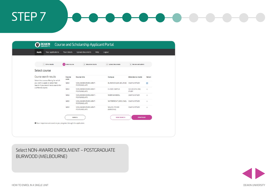| Your applications<br><b>Apply</b>                                                                                                        | Your details    | Upload documents<br>Help                     | Logout                           |                                |                |
|------------------------------------------------------------------------------------------------------------------------------------------|-----------------|----------------------------------------------|----------------------------------|--------------------------------|----------------|
| 1 Other details                                                                                                                          | 2 Select course | 3 Education details                          | 4 Upload documents               | 5 Review and submit            |                |
| Select course                                                                                                                            |                 |                                              |                                  |                                |                |
| Course search results                                                                                                                    | Course<br>code  | <b>Course title</b>                          | Campus                           | <b>Attendance mode</b>         | Select         |
| Select the course offering for which<br>you wish to apply or select New<br>Search if you would like to search for<br>a different course. | N002            | NON-AWARD ENROLMENT -<br><b>POSTGRADUATE</b> | BURWOOD (MELBOURNE) CAMPUS STUDY |                                | $\circ$        |
|                                                                                                                                          | N002            | NON-AWARD ENROLMENT -<br>POSTGRADUATE        | <b>CLOUD CAMPUS</b>              | CLOUD (ONLINE)<br><b>STUDY</b> | $\circledcirc$ |
|                                                                                                                                          | N002            | NON-AWARD ENROLMENT -<br>POSTGRADUATE        | WARRNAMBOOL                      | <b>CAMPUS STUDY</b>            | $\odot$        |
|                                                                                                                                          | N002            | NON-AWARD ENROLMENT -<br><b>POSTGRADUATE</b> | WATERFRONT (GEELONG)             | <b>CAMPUS STUDY</b>            | $\circledcirc$ |
|                                                                                                                                          | N002            | NON-AWARD ENROLMENT -<br><b>POSTGRADUATE</b> | <b>WAURN PONDS</b><br>(GEELONG)  | <b>CAMPUS STUDY</b>            | $_{\odot}$     |
|                                                                                                                                          |                 | CANCEL                                       | <b>NEW SEARCH</b>                | <b>CONTINUE</b>                |                |
| O Your responses are saved as you progress through the application.                                                                      |                 |                                              |                                  |                                |                |

#### Select NON-AWARD ENROLMENT – POSTGRADUATE BURWOOD (MELBOURNE)

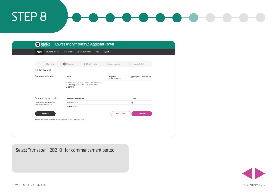

# How to enrol in a single unit

MAI769 | MLI714 | MAI728

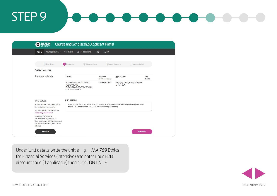| <b>DEAKIN</b>                                                                                                                                              | Course and Scholarship Applicant Portal                                                                                                                             |                          |                                                        |                 |  |
|------------------------------------------------------------------------------------------------------------------------------------------------------------|---------------------------------------------------------------------------------------------------------------------------------------------------------------------|--------------------------|--------------------------------------------------------|-----------------|--|
| Your applications<br><b>Apply</b>                                                                                                                          | Upload documents<br>Your details                                                                                                                                    | Help<br>Logout           |                                                        |                 |  |
|                                                                                                                                                            |                                                                                                                                                                     |                          |                                                        |                 |  |
| 1 Other details                                                                                                                                            | 2 Select course<br><b>3</b> Education details                                                                                                                       |                          | 4 Upload documents<br>5 Review and submit              |                 |  |
| Select course                                                                                                                                              |                                                                                                                                                                     |                          |                                                        |                 |  |
| Preference details                                                                                                                                         | Course                                                                                                                                                              | Proposed<br>commencement | <b>Type of place</b>                                   | Unit<br>details |  |
|                                                                                                                                                            | N002 NON-AWARD ENROLMENT -<br><b>POSTGRADUATE</b><br>BURWOOD (MELBOURNE) / CAMPUS<br>STUDY / UNDEFINED                                                              | Trimester 3 2019         | Fee paying place (you may be eligible<br>for FEE-HELP) |                 |  |
| Unit details                                                                                                                                               | <b>UNIT DETAILS</b>                                                                                                                                                 |                          |                                                        |                 |  |
| Enter the unit code and unit title of<br>the unit you are applying for.                                                                                    | MAI769 Ethic for Financial Services (intensive) or MLI714 Financial Advice Regulation (Intensive)<br>or MAI728 Financial Behaviour and Decision Making (Intensive). |                          |                                                        |                 |  |
| For units offered in 2019, visit the<br>University Handbook <sup>®</sup>                                                                                   |                                                                                                                                                                     |                          |                                                        |                 |  |
| If applying for Return to<br>Practice/Initial Registration of<br>Overseas Nurses bridging course add<br>the following: HNN021, HNN026 and<br><b>HNN025</b> |                                                                                                                                                                     |                          |                                                        |                 |  |
| <b>PREVIOUS</b>                                                                                                                                            |                                                                                                                                                                     |                          | <b>CONTINUE</b>                                        |                 |  |

Under Unit details write the unit e. g. MAI769 Ethics for Financial Services (intensive) and enter your B2B discount code (if applicable) then click CONTINUE.

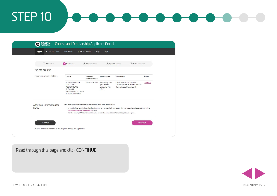| Your applications<br><b>Apply</b>         | Your details                                                                                                                     | Upload documents<br>Help | Logout                                                        |                                                                                                                                                                                                                         |               |
|-------------------------------------------|----------------------------------------------------------------------------------------------------------------------------------|--------------------------|---------------------------------------------------------------|-------------------------------------------------------------------------------------------------------------------------------------------------------------------------------------------------------------------------|---------------|
| 1 Other details                           | 2 Select course                                                                                                                  | 3 Education details      |                                                               | 5 Review and submit<br>4 Upload documents                                                                                                                                                                               |               |
| Select course                             |                                                                                                                                  |                          |                                                               |                                                                                                                                                                                                                         |               |
| Course and unit details                   | Course                                                                                                                           | Proposed<br>commencement | <b>Type of place</b>                                          | <b>Unit details</b>                                                                                                                                                                                                     | <b>Action</b> |
|                                           | N002 NON-AWARD<br><b>ENROLMENT-</b><br><b>POSTGRADUATE</b><br><b>BURWOOD</b><br>(MELBOURNE) / CAMPUS<br><b>STUDY / UNDEFINED</b> | Trimester 3 2019         | Fee paying place<br>(you may be<br>eligible for FEE-<br>HELP) | 1. MAI769 Ethic for Financial<br>Services (intensive) 2. Enter the B2B<br>discount code (if applicable)                                                                                                                 | <b>REMOVE</b> |
| Additional information for<br><b>NO02</b> | You must provide the following documents with your application:<br>Deakin University Handbook® (if any)                          |                          |                                                               | · a certified transcript of results showing you have successfully completed the pre-requisite units as outlined in the<br>. for the Faculty of Arts and Education the successful completion of an undergraduate degree. |               |
| <b>PREVIOUS</b>                           |                                                                                                                                  |                          |                                                               | <b>CONTINUE</b>                                                                                                                                                                                                         |               |

### Read through this page and click CONTINUE

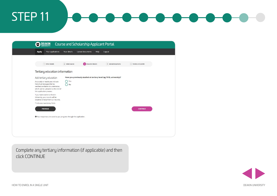| <b>DEAKIN</b><br>hh.                                                                                                                                                      |                     | Course and Scholarship Applicant Portal                              |                    |                     |
|---------------------------------------------------------------------------------------------------------------------------------------------------------------------------|---------------------|----------------------------------------------------------------------|--------------------|---------------------|
| Your applications<br><b>Apply</b>                                                                                                                                         | Your details        | Upload documents<br>Help                                             | Logout             |                     |
|                                                                                                                                                                           |                     |                                                                      |                    |                     |
| 1 Other details                                                                                                                                                           | 2 Select course     | <b>3</b> Education details                                           | 4 Upload documents | 5 Review and submit |
| Tertiary education information                                                                                                                                            |                     |                                                                      |                    |                     |
| Add tertiary education                                                                                                                                                    |                     | Have you previously studied at tertiary level (eg TAFE, university)? |                    |                     |
| Any study or results you indicate<br>here must be supported by<br>certified/verifiable documentation.<br>which can be uploaded at the end of<br>this application process. | Yes<br>Ο<br>∩<br>No |                                                                      |                    |                     |
| If you have studied at Deakin<br>University, your results will be<br>obtained directly from our records.                                                                  |                     |                                                                      |                    |                     |
| * Indicates mandatory fields                                                                                                                                              |                     |                                                                      |                    |                     |
| <b>PREVIOUS</b>                                                                                                                                                           |                     |                                                                      |                    | <b>CONTINUE</b>     |
| O Your responses are saved as you progress through the application.                                                                                                       |                     |                                                                      |                    |                     |
|                                                                                                                                                                           |                     |                                                                      |                    |                     |
|                                                                                                                                                                           |                     |                                                                      |                    |                     |
|                                                                                                                                                                           |                     |                                                                      |                    |                     |
|                                                                                                                                                                           |                     |                                                                      |                    |                     |

Complete any tertiary information (if applicable) and then click CONTINUE

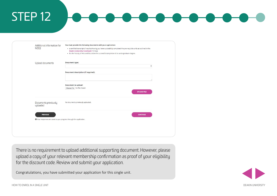| Additional information for<br><b>NO02</b>                                                         | You must provide the following documents with your application:<br>· a certified transcript of results showing you have successfully completed the pre-requisite units as outlined in the<br>Deakin University Handbook <sup>(2</sup> (if any)<br>. for the Faculty of Arts and Education the successful completion of an undergraduate degree. |
|---------------------------------------------------------------------------------------------------|-------------------------------------------------------------------------------------------------------------------------------------------------------------------------------------------------------------------------------------------------------------------------------------------------------------------------------------------------|
| Upload documents                                                                                  | <b>Document type:</b><br>÷                                                                                                                                                                                                                                                                                                                      |
|                                                                                                   | Document description (if required):                                                                                                                                                                                                                                                                                                             |
|                                                                                                   | <b>Document to upload:</b><br>Choose file No file chosen<br><b>UPLOAD FILE</b>                                                                                                                                                                                                                                                                  |
| Documents previously<br>uploaded                                                                  | No documents previously uploaded.                                                                                                                                                                                                                                                                                                               |
| <b>PREVIOUS</b><br><sup>O</sup> Your responses are saved as you progress through the application. | <b>CONTINUE</b>                                                                                                                                                                                                                                                                                                                                 |
|                                                                                                   |                                                                                                                                                                                                                                                                                                                                                 |

There is no requirement to upload additional supporting document. However, please upload a copy of your relevant membership confirmation as proof of your eligibility for the discount code. Review and submit your application.

Congratulations, you have submitted your application for this single unit.